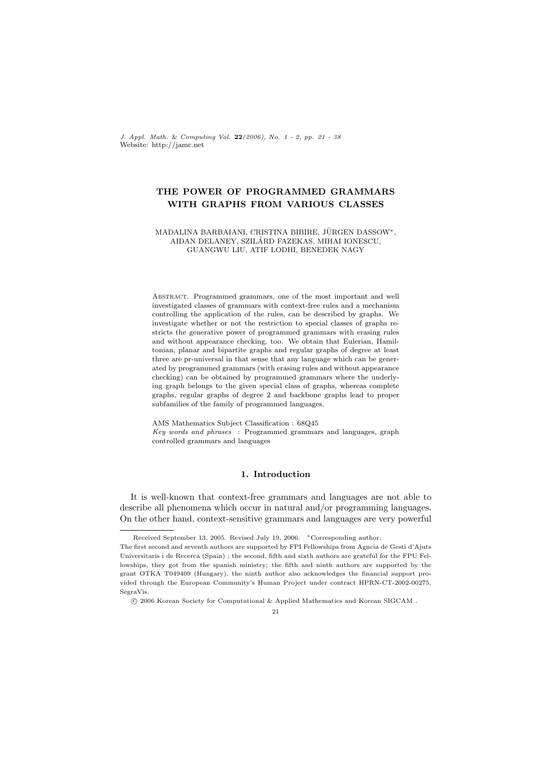J. Appl. Math. & Computing Vol. 22(2006), No. 1 - 2, pp. 21 - 38 Website: http://jamc.net

# THE POWER OF PROGRAMMED GRAMMARS WITH GRAPHS FROM VARIOUS CLASSES

#### MADALINA BARBAIANI, CRISTINA BIBIRE, JÜRGEN DASSOW\*, AIDAN DELANEY, SZILARD FAZEKAS, MIHAI IONESCU, ´ GUANGWU LIU, ATIF LODHI, BENEDEK NAGY

Abstract. Programmed grammars, one of the most important and well investigated classes of grammars with context-free rules and a mechanism controlling the application of the rules, can be described by graphs. We investigate whether or not the restriction to special classes of graphs restricts the generative power of programmed grammars with erasing rules and without appearance checking, too. We obtain that Eulerian, Hamiltonian, planar and bipartite graphs and regular graphs of degree at least three are pr-universal in that sense that any language which can be generated by programmed grammars (with erasing rules and without appearance checking) can be obtained by programmed grammars where the underlying graph belongs to the given special class of graphs, whereas complete graphs, regular graphs of degree 2 and backbone graphs lead to proper subfamilies of the family of programmed languages.

AMS Mathematics Subject Classification : 68Q45 Key words and phrases : Programmed grammars and languages, graph controlled grammars and languages

## 1. Introduction

It is well-known that context-free grammars and languages are not able to describe all phenomena which occur in natural and/or programming languages. On the other hand, context-sensitive grammars and languages are very powerful

Received September 13, 2005. Revised July 19, 2006. \*Corresponding author.

The first second and seventh authors are supported by FPI Fellowships from Agncia de Gesti d'Ajuts Universitaris i de Recerca (Spain) ; the second, fifth and sixth authors are grateful for the FPU Fellowships, they got from the spanish ministry; the fifth and ninth authors are supported by the grant OTKA T049409 (Hungary), the ninth author also acknowledges the financial support provided through the European Community's Human Project under contract HPRN-CT-2002-00275, SegraVis.

<sup>°</sup>c 2006 Korean Society for Computational & Applied Mathematics and Korean SIGCAM .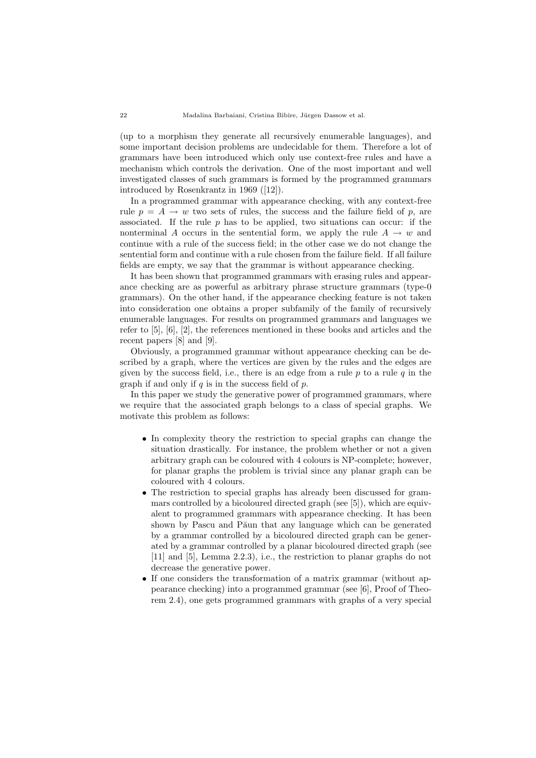(up to a morphism they generate all recursively enumerable languages), and some important decision problems are undecidable for them. Therefore a lot of grammars have been introduced which only use context-free rules and have a mechanism which controls the derivation. One of the most important and well investigated classes of such grammars is formed by the programmed grammars introduced by Rosenkrantz in 1969 ([12]).

In a programmed grammar with appearance checking, with any context-free rule  $p = A \rightarrow w$  two sets of rules, the success and the failure field of p, are associated. If the rule  $p$  has to be applied, two situations can occur: if the nonterminal A occurs in the sentential form, we apply the rule  $A \rightarrow w$  and continue with a rule of the success field; in the other case we do not change the sentential form and continue with a rule chosen from the failure field. If all failure fields are empty, we say that the grammar is without appearance checking.

It has been shown that programmed grammars with erasing rules and appearance checking are as powerful as arbitrary phrase structure grammars (type-0 grammars). On the other hand, if the appearance checking feature is not taken into consideration one obtains a proper subfamily of the family of recursively enumerable languages. For results on programmed grammars and languages we refer to [5], [6], [2], the references mentioned in these books and articles and the recent papers [8] and [9].

Obviously, a programmed grammar without appearance checking can be described by a graph, where the vertices are given by the rules and the edges are given by the success field, i.e., there is an edge from a rule  $p$  to a rule  $q$  in the graph if and only if  $q$  is in the success field of  $p$ .

In this paper we study the generative power of programmed grammars, where we require that the associated graph belongs to a class of special graphs. We motivate this problem as follows:

- In complexity theory the restriction to special graphs can change the situation drastically. For instance, the problem whether or not a given arbitrary graph can be coloured with 4 colours is NP-complete; however, for planar graphs the problem is trivial since any planar graph can be coloured with 4 colours.
- The restriction to special graphs has already been discussed for grammars controlled by a bicoloured directed graph (see [5]), which are equivalent to programmed grammars with appearance checking. It has been shown by Pascu and Păun that any language which can be generated by a grammar controlled by a bicoloured directed graph can be generated by a grammar controlled by a planar bicoloured directed graph (see [11] and [5], Lemma 2.2.3), i.e., the restriction to planar graphs do not decrease the generative power.
- If one considers the transformation of a matrix grammar (without appearance checking) into a programmed grammar (see [6], Proof of Theorem 2.4), one gets programmed grammars with graphs of a very special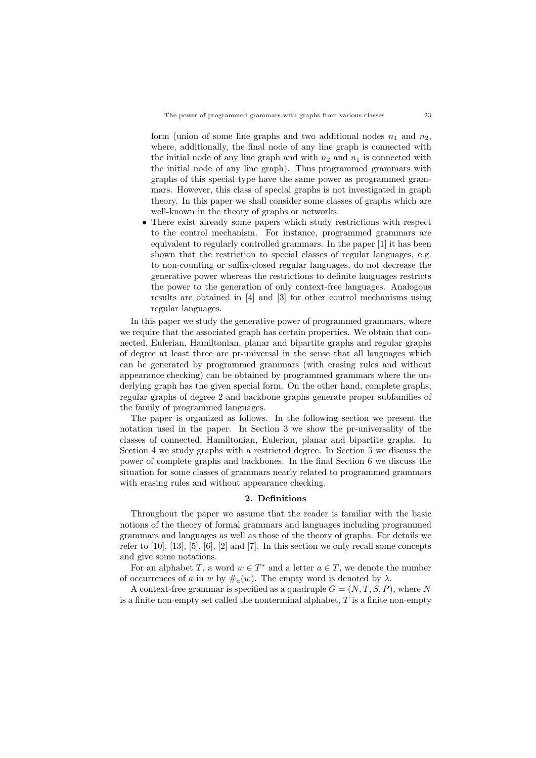form (union of some line graphs and two additional nodes  $n_1$  and  $n_2$ , where, additionally, the final node of any line graph is connected with the initial node of any line graph and with  $n_2$  and  $n_1$  is connected with the initial node of any line graph). Thus programmed grammars with graphs of this special type have the same power as programmed grammars. However, this class of special graphs is not investigated in graph theory. In this paper we shall consider some classes of graphs which are well-known in the theory of graphs or networks.

There exist already some papers which study restrictions with respect to the control mechanism. For instance, programmed grammars are equivalent to regularly controlled grammars. In the paper [1] it has been shown that the restriction to special classes of regular languages, e.g. to non-counting or suffix-closed regular languages, do not decrease the generative power whereas the restrictions to definite languages restricts the power to the generation of only context-free languages. Analogous results are obtained in [4] and [3] for other control mechanisms using regular languages.

In this paper we study the generative power of programmed grammars, where we require that the associated graph has certain properties. We obtain that connected, Eulerian, Hamiltonian, planar and bipartite graphs and regular graphs of degree at least three are pr-universal in the sense that all languages which can be generated by programmed grammars (with erasing rules and without appearance checking) can be obtained by programmed grammars where the underlying graph has the given special form. On the other hand, complete graphs, regular graphs of degree 2 and backbone graphs generate proper subfamilies of the family of programmed languages.

The paper is organized as follows. In the following section we present the notation used in the paper. In Section 3 we show the pr-universality of the classes of connected, Hamiltonian, Eulerian, planar and bipartite graphs. In Section 4 we study graphs with a restricted degree. In Section 5 we discuss the power of complete graphs and backbones. In the final Section 6 we discuss the situation for some classes of grammars nearly related to programmed grammars with erasing rules and without appearance checking.

## 2. Definitions

Throughout the paper we assume that the reader is familiar with the basic notions of the theory of formal grammars and languages including programmed grammars and languages as well as those of the theory of graphs. For details we refer to [10], [13], [5], [6], [2] and [7]. In this section we only recall some concepts and give some notations.

For an alphabet T, a word  $w \in T^*$  and a letter  $a \in T$ , we denote the number of occurrences of a in w by  $\#_{\alpha}(w)$ . The empty word is denoted by  $\lambda$ .

A context-free grammar is specified as a quadruple  $G = (N, T, S, P)$ , where N is a finite non-empty set called the nonterminal alphabet,  $T$  is a finite non-empty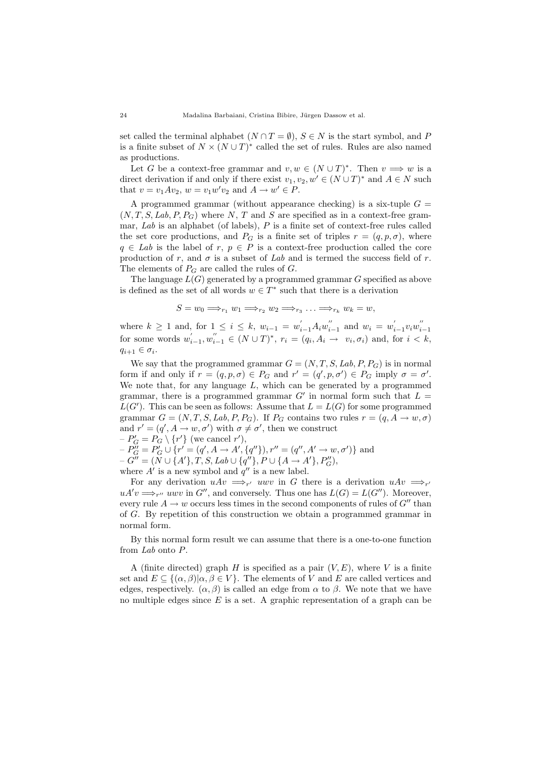set called the terminal alphabet  $(N \cap T = \emptyset)$ ,  $S \in N$  is the start symbol, and P is a finite subset of  $N \times (N \cup T)^*$  called the set of rules. Rules are also named as productions.

Let G be a context-free grammar and  $v, w \in (N \cup T)^*$ . Then  $v \implies w$  is a direct derivation if and only if there exist  $v_1, v_2, w' \in (N \cup T)^*$  and  $A \in N$  such that  $v = v_1Av_2$ ,  $w = v_1w'v_2$  and  $A \rightarrow w' \in P$ .

A programmed grammar (without appearance checking) is a six-tuple  $G =$  $(N, T, S, Lab, P, P<sub>G</sub>)$  where N, T and S are specified as in a context-free grammar,  $Lab$  is an alphabet (of labels),  $P$  is a finite set of context-free rules called the set core productions, and  $P_G$  is a finite set of triples  $r = (q, p, \sigma)$ , where  $q \in Lab$  is the label of r,  $p \in P$  is a context-free production called the core production of r, and  $\sigma$  is a subset of Lab and is termed the success field of r. The elements of  $P_G$  are called the rules of  $G$ .

The language  $L(G)$  generated by a programmed grammar G specified as above is defined as the set of all words  $w \in T^*$  such that there is a derivation

$$
S = w_0 \Longrightarrow_{r_1} w_1 \Longrightarrow_{r_2} w_2 \Longrightarrow_{r_3} \ldots \Longrightarrow_{r_k} w_k = w,
$$

where  $k \ge 1$  and, for  $1 \le i \le k$ ,  $w_{i-1} = w'_{i-1} A_i w''_{i-1}$  and  $w_i = w'_{i-1} v_i w''_{i-1}$ for some words  $w_{i-1}', w_{i-1}'' \in (N \cup T)^*$ ,  $r_i = (q_i, A_i \rightarrow v_i, \sigma_i)$  and, for  $i < k$ ,  $q_{i+1} \in \sigma_i$ .

We say that the programmed grammar  $G = (N, T, S, Lab, P, P_G)$  is in normal form if and only if  $r = (q, p, \sigma) \in P_G$  and  $r' = (q', p, \sigma') \in P_G$  imply  $\sigma = \sigma'$ . We note that, for any language  $L$ , which can be generated by a programmed grammar, there is a programmed grammar  $G'$  in normal form such that  $L =$  $L(G')$ . This can be seen as follows: Assume that  $L = L(G)$  for some programmed grammar  $G = (N, T, S, Lab, P, P_G)$ . If  $P_G$  contains two rules  $r = (q, A \rightarrow w, \sigma)$ and  $r' = (q', A \rightarrow w, \sigma')$  with  $\sigma \neq \sigma'$ , then we construct  $-P'_{G} = P_{G} \setminus \{r'\}$  (we cancel r'),  $-P''_G = P'_G \cup \{r' = (q', A \rightarrow A', \{q''\}), r'' = (q'', A' \rightarrow w, \sigma')\}$  and

 $-G^{W} = (\tilde{N} \cup \{A'\}, T, S, Lab \cup \{q''\}, P \cup \{A \rightarrow A'\}, P''_{G}),$ where  $A'$  is a new symbol and  $q''$  is a new label.

For any derivation  $uAv \implies_{r'} u wv$  in G there is a derivation  $uAv \implies_{r'} u wv$  $uA'v \Longrightarrow_{r''} u wv$  in  $G''$ , and conversely. Thus one has  $L(G) = L(G'')$ . Moreover, every rule  $A \rightarrow w$  occurs less times in the second components of rules of  $G''$  than of G. By repetition of this construction we obtain a programmed grammar in normal form.

By this normal form result we can assume that there is a one-to-one function from Lab onto P.

A (finite directed) graph H is specified as a pair  $(V, E)$ , where V is a finite set and  $E \subseteq \{(\alpha, \beta)|\alpha, \beta \in V\}$ . The elements of V and E are called vertices and edges, respectively.  $(\alpha, \beta)$  is called an edge from  $\alpha$  to  $\beta$ . We note that we have no multiple edges since  $E$  is a set. A graphic representation of a graph can be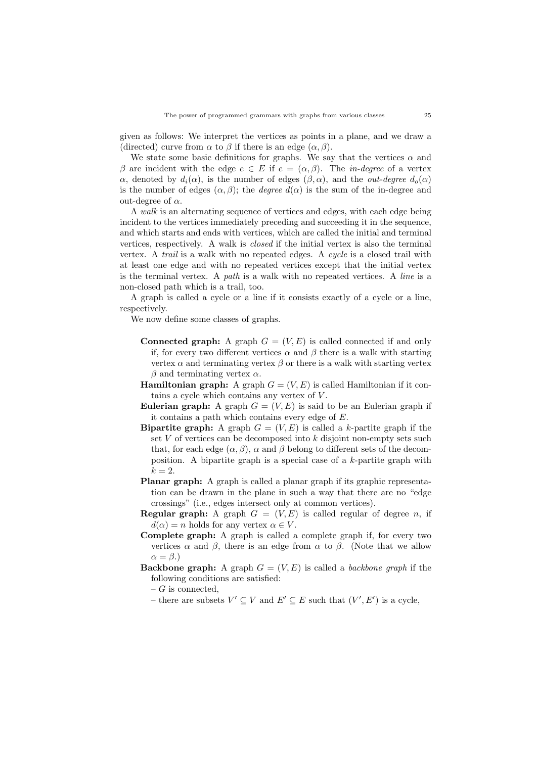given as follows: We interpret the vertices as points in a plane, and we draw a (directed) curve from  $\alpha$  to  $\beta$  if there is an edge  $(\alpha, \beta)$ .

We state some basic definitions for graphs. We say that the vertices  $\alpha$  and β are incident with the edge  $e \in E$  if  $e = (α, β)$ . The *in-degree* of a vertex α, denoted by  $d_i(\alpha)$ , is the number of edges  $(\beta, \alpha)$ , and the *out-degree*  $d_o(\alpha)$ is the number of edges  $(\alpha, \beta)$ ; the *degree*  $d(\alpha)$  is the sum of the in-degree and out-degree of  $\alpha$ .

A walk is an alternating sequence of vertices and edges, with each edge being incident to the vertices immediately preceding and succeeding it in the sequence, and which starts and ends with vertices, which are called the initial and terminal vertices, respectively. A walk is closed if the initial vertex is also the terminal vertex. A trail is a walk with no repeated edges. A cycle is a closed trail with at least one edge and with no repeated vertices except that the initial vertex is the terminal vertex. A path is a walk with no repeated vertices. A line is a non-closed path which is a trail, too.

A graph is called a cycle or a line if it consists exactly of a cycle or a line, respectively.

We now define some classes of graphs.

- **Connected graph:** A graph  $G = (V, E)$  is called connected if and only if, for every two different vertices  $\alpha$  and  $\beta$  there is a walk with starting vertex  $\alpha$  and terminating vertex  $\beta$  or there is a walk with starting vertex β and terminating vertex  $\alpha$ .
- **Hamiltonian graph:** A graph  $G = (V, E)$  is called Hamiltonian if it contains a cycle which contains any vertex of V .
- **Eulerian graph:** A graph  $G = (V, E)$  is said to be an Eulerian graph if it contains a path which contains every edge of E.
- **Bipartite graph:** A graph  $G = (V, E)$  is called a k-partite graph if the set  $V$  of vertices can be decomposed into  $k$  disjoint non-empty sets such that, for each edge  $(\alpha, \beta)$ ,  $\alpha$  and  $\beta$  belong to different sets of the decomposition. A bipartite graph is a special case of a k-partite graph with  $k = 2$ .
- Planar graph: A graph is called a planar graph if its graphic representation can be drawn in the plane in such a way that there are no "edge crossings" (i.e., edges intersect only at common vertices).
- **Regular graph:** A graph  $G = (V, E)$  is called regular of degree n, if  $d(\alpha) = n$  holds for any vertex  $\alpha \in V$ .
- Complete graph: A graph is called a complete graph if, for every two vertices  $\alpha$  and  $\beta$ , there is an edge from  $\alpha$  to  $\beta$ . (Note that we allow  $\alpha = \beta.$
- **Backbone graph:** A graph  $G = (V, E)$  is called a *backbone graph* if the following conditions are satisfied:
	- $-G$  is connected.
	- there are subsets  $V' \subseteq V$  and  $E' \subseteq E$  such that  $(V', E')$  is a cycle,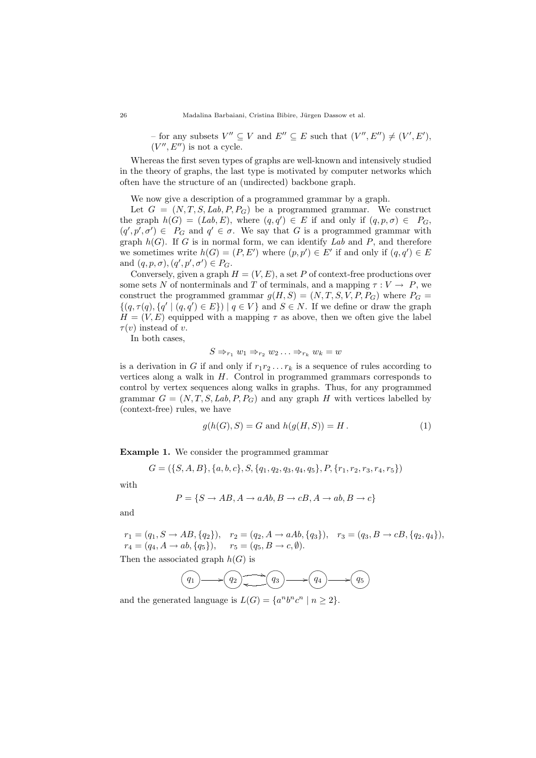− for any subsets  $V'' \subseteq V$  and  $E'' \subseteq E$  such that  $(V'', E'') \neq (V', E'),$  $(V'', E'')$  is not a cycle.

Whereas the first seven types of graphs are well-known and intensively studied in the theory of graphs, the last type is motivated by computer networks which often have the structure of an (undirected) backbone graph.

We now give a description of a programmed grammar by a graph.

Let  $G = (N, T, S, Lab, P, P_G)$  be a programmed grammar. We construct the graph  $h(G) = (Lab, E)$ , where  $(q, q') \in E$  if and only if  $(q, p, \sigma) \in P_G$ ,  $(q', p', \sigma') \in P_G$  and  $q' \in \sigma$ . We say that G is a programmed grammar with graph  $h(G)$ . If G is in normal form, we can identify Lab and P, and therefore we sometimes write  $h(G) = (P, E')$  where  $(p, p') \in E'$  if and only if  $(q, q') \in E$ and  $(q, p, \sigma), (q', p', \sigma') \in P_G$ .

Conversely, given a graph  $H = (V, E)$ , a set P of context-free productions over some sets N of nonterminals and T of terminals, and a mapping  $\tau: V \to P$ , we construct the programmed grammar  $g(H, S) = (N, T, S, V, P, P_G)$  where  $P_G =$  $\{(q, \tau(q), \{q' \mid (q, q') \in E\}) \mid q \in V\}$  and  $S \in N$ . If we define or draw the graph  $H = (V, E)$  equipped with a mapping  $\tau$  as above, then we often give the label  $\tau(v)$  instead of v.

In both cases,

$$
S \Rightarrow_{r_1} w_1 \Rightarrow_{r_2} w_2 \dots \Rightarrow_{r_k} w_k = w
$$

is a derivation in G if and only if  $r_1r_2 \ldots r_k$  is a sequence of rules according to vertices along a walk in  $H$ . Control in programmed grammars corresponds to control by vertex sequences along walks in graphs. Thus, for any programmed grammar  $G = (N, T, S, Lab, P, P_G)$  and any graph H with vertices labelled by (context-free) rules, we have

$$
g(h(G), S) = G \text{ and } h(g(H, S)) = H.
$$
 (1)

Example 1. We consider the programmed grammar

$$
G = (\{S, A, B\}, \{a, b, c\}, S, \{q_1, q_2, q_3, q_4, q_5\}, P, \{r_1, r_2, r_3, r_4, r_5\})
$$

with

$$
P = \{S \rightarrow AB, A \rightarrow aAb, B \rightarrow cB, A \rightarrow ab, B \rightarrow c\}
$$

and

 $r_1 = (q_1, S \rightarrow AB, \{q_2\}), r_2 = (q_2, A \rightarrow aAb, \{q_3\}), r_3 = (q_3, B \rightarrow cB, \{q_2, q_4\}),$  $r_4 = (q_4, A \rightarrow ab, \{q_5\}), \quad r_5 = (q_5, B \rightarrow c, \emptyset).$ 

Then the associated graph  $h(G)$  is

$$
(q_1) \longrightarrow (q_2) \longrightarrow (q_3) \longrightarrow (q_4) \longrightarrow (q_5)
$$

and the generated language is  $L(G) = \{a^n b^n c^n \mid n \geq 2\}.$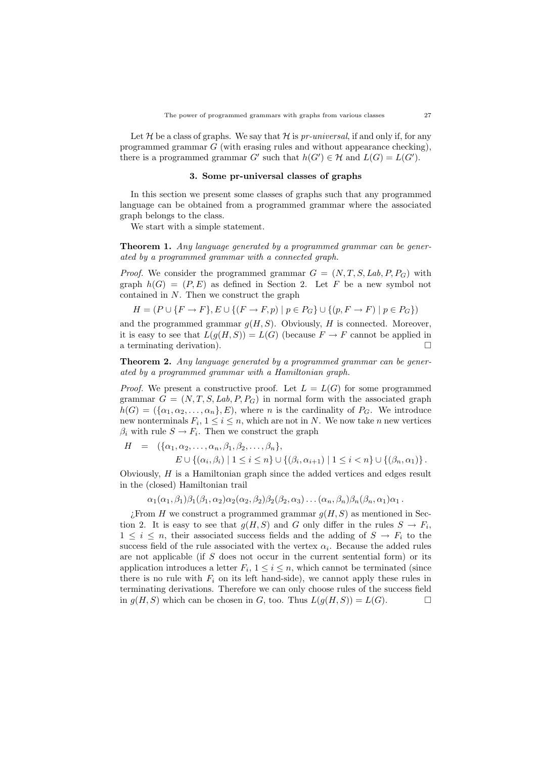Let H be a class of graphs. We say that H is pr-universal, if and only if, for any programmed grammar G (with erasing rules and without appearance checking), there is a programmed grammar G' such that  $h(G') \in \mathcal{H}$  and  $L(G) = L(G')$ .

## 3. Some pr-universal classes of graphs

In this section we present some classes of graphs such that any programmed language can be obtained from a programmed grammar where the associated graph belongs to the class.

We start with a simple statement.

Theorem 1. Any language generated by a programmed grammar can be generated by a programmed grammar with a connected graph.

*Proof.* We consider the programmed grammar  $G = (N, T, S, Lab, P, P_G)$  with graph  $h(G) = (P, E)$  as defined in Section 2. Let F be a new symbol not contained in N. Then we construct the graph

$$
H = (P \cup \{F \to F\}, E \cup \{(F \to F, p) \mid p \in P_G\} \cup \{(p, F \to F) \mid p \in P_G\})
$$

and the programmed grammar  $g(H, S)$ . Obviously, H is connected. Moreover, it is easy to see that  $L(g(H, S)) = L(G)$  (because  $F \to F$  cannot be applied in a terminating derivation).  $\Box$ 

Theorem 2. Any language generated by a programmed grammar can be generated by a programmed grammar with a Hamiltonian graph.

*Proof.* We present a constructive proof. Let  $L = L(G)$  for some programmed grammar  $G = (N, T, S, Lab, P, P<sub>G</sub>)$  in normal form with the associated graph  $h(G) = (\{\alpha_1, \alpha_2, \ldots, \alpha_n\}, E)$ , where *n* is the cardinality of  $P_G$ . We introduce new nonterminals  $F_i$ ,  $1 \leq i \leq n$ , which are not in N. We now take n new vertices  $\beta_i$  with rule  $S \to F_i$ . Then we construct the graph

$$
H = (\{\alpha_1, \alpha_2, \ldots, \alpha_n, \beta_1, \beta_2, \ldots, \beta_n\},
$$
  
\n
$$
E \cup \{(\alpha_i, \beta_i) \mid 1 \le i \le n\} \cup \{(\beta_i, \alpha_{i+1}) \mid 1 \le i < n\} \cup \{(\beta_n, \alpha_1)\}.
$$

Obviously, H is a Hamiltonian graph since the added vertices and edges result in the (closed) Hamiltonian trail

 $\alpha_1(\alpha_1,\beta_1)\beta_1(\beta_1,\alpha_2)\alpha_2(\alpha_2,\beta_2)\beta_2(\beta_2,\alpha_3)\dots(\alpha_n,\beta_n)\beta_n(\beta_n,\alpha_1)\alpha_1$ .

 $i$ . From H we construct a programmed grammar  $g(H, S)$  as mentioned in Section 2. It is easy to see that  $g(H, S)$  and G only differ in the rules  $S \to F_i$ ,  $1 \leq i \leq n$ , their associated success fields and the adding of  $S \to F_i$  to the success field of the rule associated with the vertex  $\alpha_i$ . Because the added rules are not applicable (if S does not occur in the current sentential form) or its application introduces a letter  $F_i$ ,  $1 \leq i \leq n$ , which cannot be terminated (since there is no rule with  $F_i$  on its left hand-side), we cannot apply these rules in terminating derivations. Therefore we can only choose rules of the success field in  $g(H, S)$  which can be chosen in G, too. Thus  $L(g(H, S)) = L(G)$ .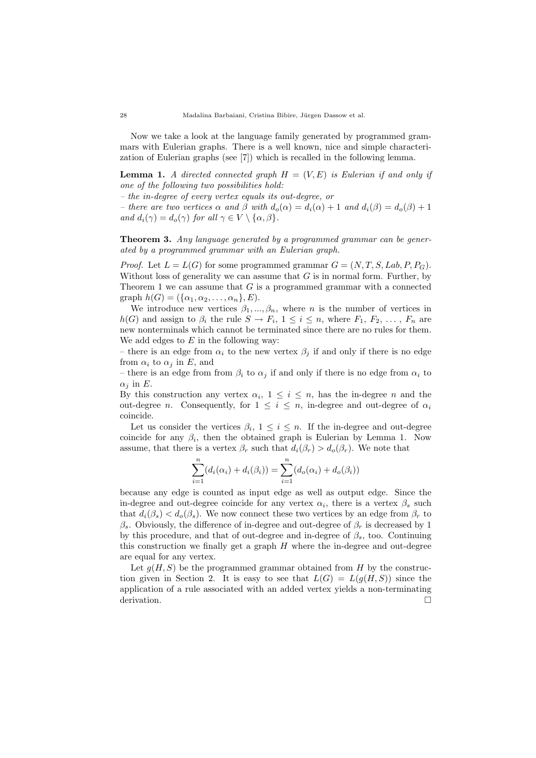Now we take a look at the language family generated by programmed grammars with Eulerian graphs. There is a well known, nice and simple characterization of Eulerian graphs (see [7]) which is recalled in the following lemma.

**Lemma 1.** A directed connected graph  $H = (V, E)$  is Eulerian if and only if one of the following two possibilities hold:

– the in-degree of every vertex equals its out-degree, or

– there are two vertices  $\alpha$  and  $\beta$  with  $d_o(\alpha) = d_i(\alpha) + 1$  and  $d_i(\beta) = d_o(\beta) + 1$ and  $d_i(\gamma) = d_o(\gamma)$  for all  $\gamma \in V \setminus {\alpha, \beta}.$ 

Theorem 3. Any language generated by a programmed grammar can be generated by a programmed grammar with an Eulerian graph.

*Proof.* Let  $L = L(G)$  for some programmed grammar  $G = (N, T, S, Lab, P, P_G)$ . Without loss of generality we can assume that  $G$  is in normal form. Further, by Theorem 1 we can assume that  $G$  is a programmed grammar with a connected graph  $h(G) = (\{\alpha_1, \alpha_2, \ldots, \alpha_n\}, E)$ .

We introduce new vertices  $\beta_1, ..., \beta_n$ , where n is the number of vertices in  $h(G)$  and assign to  $\beta_i$  the rule  $S \to F_i$ ,  $1 \leq i \leq n$ , where  $F_1, F_2, \ldots, F_n$  are new nonterminals which cannot be terminated since there are no rules for them. We add edges to  $E$  in the following way:

– there is an edge from  $\alpha_i$  to the new vertex  $\beta_j$  if and only if there is no edge from  $\alpha_i$  to  $\alpha_j$  in E, and

– there is an edge from from  $\beta_i$  to  $\alpha_j$  if and only if there is no edge from  $\alpha_i$  to  $\alpha_i$  in E.

By this construction any vertex  $\alpha_i$ ,  $1 \leq i \leq n$ , has the in-degree n and the out-degree n. Consequently, for  $1 \leq i \leq n$ , in-degree and out-degree of  $\alpha_i$ coincide.

Let us consider the vertices  $\beta_i$ ,  $1 \leq i \leq n$ . If the in-degree and out-degree coincide for any  $\beta_i$ , then the obtained graph is Eulerian by Lemma 1. Now assume, that there is a vertex  $\beta_r$  such that  $d_i(\beta_r) > d_o(\beta_r)$ . We note that

$$
\sum_{i=1}^{n} (d_i(\alpha_i) + d_i(\beta_i)) = \sum_{i=1}^{n} (d_o(\alpha_i) + d_o(\beta_i))
$$

because any edge is counted as input edge as well as output edge. Since the in-degree and out-degree coincide for any vertex  $\alpha_i$ , there is a vertex  $\beta_s$  such that  $d_i(\beta_s) < d_o(\beta_s)$ . We now connect these two vertices by an edge from  $\beta_r$  to  $\beta_s$ . Obviously, the difference of in-degree and out-degree of  $\beta_r$  is decreased by 1 by this procedure, and that of out-degree and in-degree of  $\beta_s$ , too. Continuing this construction we finally get a graph  $H$  where the in-degree and out-degree are equal for any vertex.

Let  $g(H, S)$  be the programmed grammar obtained from H by the construction given in Section 2. It is easy to see that  $L(G) = L(q(H, S))$  since the application of a rule associated with an added vertex yields a non-terminating derivation.  $\Box$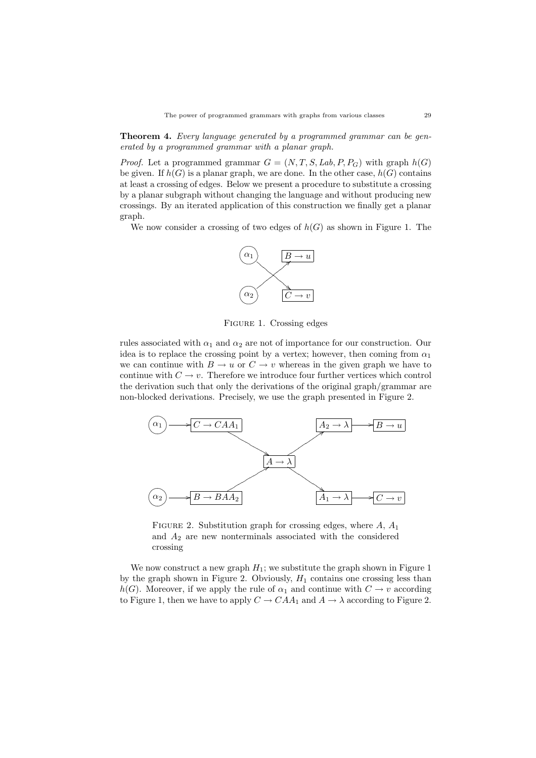Theorem 4. Every language generated by a programmed grammar can be generated by a programmed grammar with a planar graph.

*Proof.* Let a programmed grammar  $G = (N, T, S, Lab, P, P_G)$  with graph  $h(G)$ be given. If  $h(G)$  is a planar graph, we are done. In the other case,  $h(G)$  contains at least a crossing of edges. Below we present a procedure to substitute a crossing by a planar subgraph without changing the language and without producing new crossings. By an iterated application of this construction we finally get a planar graph.

We now consider a crossing of two edges of  $h(G)$  as shown in Figure 1. The



Figure 1. Crossing edges

rules associated with  $\alpha_1$  and  $\alpha_2$  are not of importance for our construction. Our idea is to replace the crossing point by a vertex; however, then coming from  $\alpha_1$ we can continue with  $B \to u$  or  $C \to v$  whereas in the given graph we have to continue with  $C \to v$ . Therefore we introduce four further vertices which control the derivation such that only the derivations of the original graph/grammar are non-blocked derivations. Precisely, we use the graph presented in Figure 2.



FIGURE 2. Substitution graph for crossing edges, where  $A, A_1$ and  $A_2$  are new nonterminals associated with the considered crossing

We now construct a new graph  $H_1$ ; we substitute the graph shown in Figure 1 by the graph shown in Figure 2. Obviously,  $H_1$  contains one crossing less than  $h(G)$ . Moreover, if we apply the rule of  $\alpha_1$  and continue with  $C \rightarrow v$  according to Figure 1, then we have to apply  $C \to CAA_1$  and  $A \to \lambda$  according to Figure 2.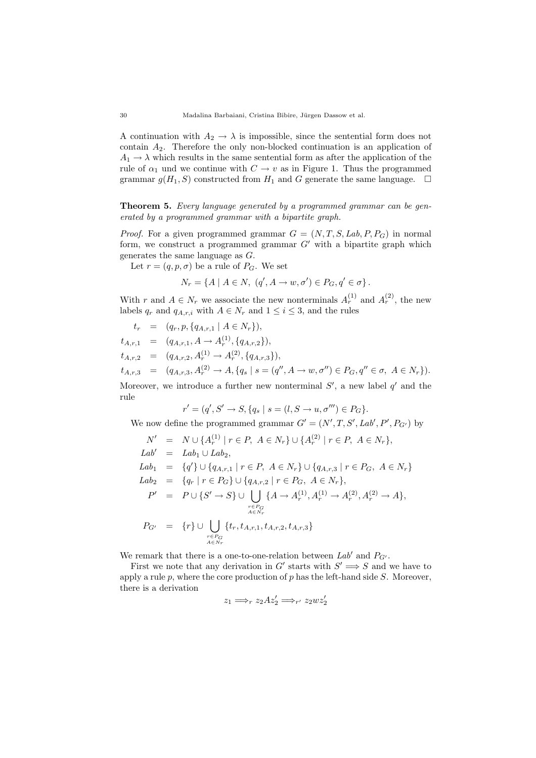A continuation with  $A_2 \rightarrow \lambda$  is impossible, since the sentential form does not contain  $A_2$ . Therefore the only non-blocked continuation is an application of  $A_1 \rightarrow \lambda$  which results in the same sentential form as after the application of the rule of  $\alpha_1$  und we continue with  $C \to v$  as in Figure 1. Thus the programmed grammar  $g(H_1, S)$  constructed from  $H_1$  and G generate the same language.  $\Box$ 

Theorem 5. Every language generated by a programmed grammar can be generated by a programmed grammar with a bipartite graph.

*Proof.* For a given programmed grammar  $G = (N, T, S, Lab, P, P_G)$  in normal form, we construct a programmed grammar  $G'$  with a bipartite graph which generates the same language as G.

Let  $r = (q, p, \sigma)$  be a rule of  $P_G$ . We set

$$
N_r = \{ A \mid A \in N, (q', A \rightarrow w, \sigma') \in P_G, q' \in \sigma \}.
$$

With r and  $A \in N_r$  we associate the new nonterminals  $A_r^{(1)}$  and  $A_r^{(2)}$ , the new labels  $q_r$  and  $q_{A,r,i}$  with  $A \in N_r$  and  $1 \leq i \leq 3$ , and the rules

 $t_r = (q_r, p, \{q_{A,r,1} | A \in N_r \}),$  $t_{A,r,1} = (q_{A,r,1}, A \rightarrow A_r^{(1)}, \{q_{A,r,2}\}),$  $t_{A,r,2} = (q_{A,r,2}, A_r^{(1)} \rightarrow A_r^{(2)}, \{q_{A,r,3}\}),$  $t_{A,r,3} = (q_{A,r,3}, A_r^{(2)} \to A, \{q_s \mid s = (q'', A \to w, \sigma'') \in P_G, q'' \in \sigma, A \in N_r \}).$ 

Moreover, we introduce a further new nonterminal  $S'$ , a new label  $q'$  and the rule

 $r' = (q', S' \to S, \{q_s \mid s = (l, S \to u, \sigma'') \in P_G\}.$ 

We now define the programmed grammar  $G' = (N', T, S', Lab', P', P_{G'})$  by

$$
N' = N \cup \{A_r^{(1)} | r \in P, A \in N_r\} \cup \{A_r^{(2)} | r \in P, A \in N_r\},
$$
  
\n
$$
Lab' = Lab_1 \cup Lab_2,
$$
  
\n
$$
Lab_1 = \{q'\} \cup \{q_{A,r,1} | r \in P, A \in N_r\} \cup \{q_{A,r,3} | r \in P_G, A \in N_r\}
$$
  
\n
$$
Lab_2 = \{q_r | r \in P_G\} \cup \{q_{A,r,2} | r \in P_G, A \in N_r\},
$$
  
\n
$$
P' = P \cup \{S' \to S\} \cup \bigcup_{\substack{r \in P_G \\ A \in N_r}} \{A \to A_r^{(1)}, A_r^{(1)} \to A_r^{(2)}, A_r^{(2)} \to A\},
$$
  
\n
$$
P_{G'} = \{r\} \cup \bigcup_{\substack{r \in P_G \\ A \in N_r}} \{t_r, t_{A,r,1}, t_{A,r,2}, t_{A,r,3}\}
$$

We remark that there is a one-to-one-relation between  $Lab'$  and  $P_{G'}$ .

First we note that any derivation in G' starts with  $S' \implies S$  and we have to apply a rule  $p$ , where the core production of  $p$  has the left-hand side  $S$ . Moreover, there is a derivation

$$
z_1 \Longrightarrow_r z_2 A z_2' \Longrightarrow_{r'} z_2 w z_2'
$$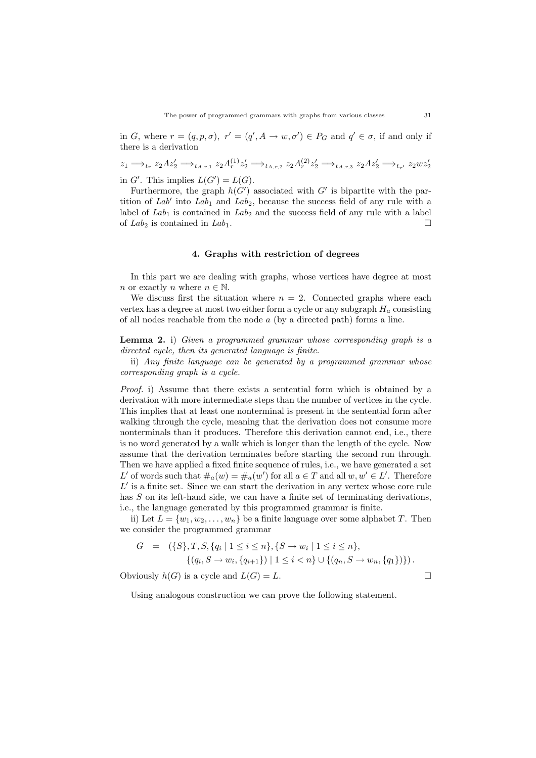in G, where  $r = (q, p, \sigma)$ ,  $r' = (q', A \rightarrow w, \sigma') \in P_G$  and  $q' \in \sigma$ , if and only if there is a derivation

$$
z_1 \Longrightarrow_{t_r} z_2 Az_2' \Longrightarrow_{t_{A,r,1}} z_2 A_r^{(1)} z_2' \Longrightarrow_{t_{A,r,2}} z_2 A_r^{(2)} z_2' \Longrightarrow_{t_{A,r,3}} z_2 Az_2' \Longrightarrow_{t_{r'}} z_2 wz_2'
$$
  
in G'. This implies  $L(G') = L(G)$ .

Furthermore, the graph  $h(G')$  associated with G' is bipartite with the partition of  $Lab'$  into  $Lab_1$  and  $Lab_2$ , because the success field of any rule with a label of  $Lab_1$  is contained in  $Lab_2$  and the success field of any rule with a label of  $Lab_2$  is contained in  $Lab_1$ .

## 4. Graphs with restriction of degrees

In this part we are dealing with graphs, whose vertices have degree at most *n* or exactly *n* where  $n \in \mathbb{N}$ .

We discuss first the situation where  $n = 2$ . Connected graphs where each vertex has a degree at most two either form a cycle or any subgraph  $H_a$  consisting of all nodes reachable from the node a (by a directed path) forms a line.

Lemma 2. i) Given a programmed grammar whose corresponding graph is a directed cycle, then its generated language is finite.

ii) Any finite language can be generated by a programmed grammar whose corresponding graph is a cycle.

Proof. i) Assume that there exists a sentential form which is obtained by a derivation with more intermediate steps than the number of vertices in the cycle. This implies that at least one nonterminal is present in the sentential form after walking through the cycle, meaning that the derivation does not consume more nonterminals than it produces. Therefore this derivation cannot end, i.e., there is no word generated by a walk which is longer than the length of the cycle. Now assume that the derivation terminates before starting the second run through. Then we have applied a fixed finite sequence of rules, i.e., we have generated a set L' of words such that  $\#_a(w) = \#_a(w')$  for all  $a \in T$  and all  $w, w' \in L'$ . Therefore  $L'$  is a finite set. Since we can start the derivation in any vertex whose core rule has S on its left-hand side, we can have a finite set of terminating derivations, i.e., the language generated by this programmed grammar is finite.

ii) Let  $L = \{w_1, w_2, \ldots, w_n\}$  be a finite language over some alphabet T. Then we consider the programmed grammar

$$
G = (\{S\}, T, S, \{q_i \mid 1 \leq i \leq n\}, \{S \to w_i \mid 1 \leq i \leq n\},\
$$

$$
\{(q_i, S \to w_i, \{q_{i+1}\}) \mid 1 \leq i < n\} \cup \{(q_n, S \to w_n, \{q_1\})\}).
$$

Obviously  $h(G)$  is a cycle and  $L(G) = L$ .

Using analogous construction we can prove the following statement.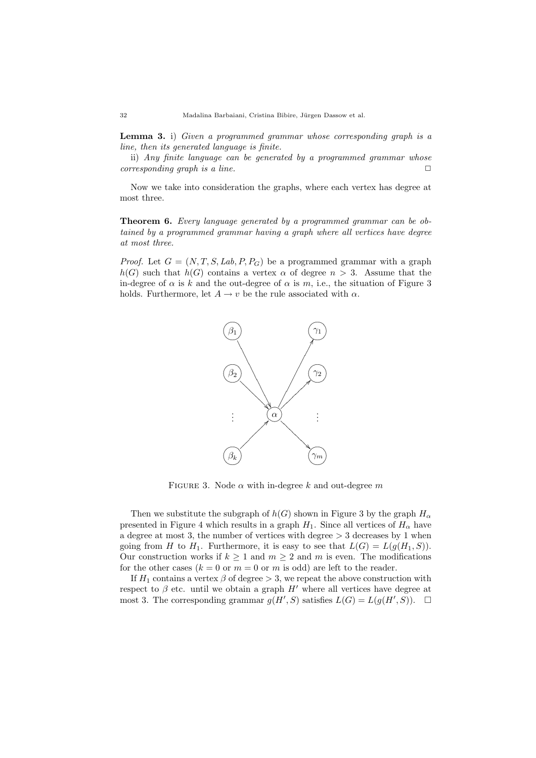Lemma 3. i) Given a programmed grammar whose corresponding graph is a line, then its generated language is finite.

ii) Any finite language can be generated by a programmed grammar whose corresponding graph is a line.  $\Box$ 

Now we take into consideration the graphs, where each vertex has degree at most three.

Theorem 6. Every language generated by a programmed grammar can be obtained by a programmed grammar having a graph where all vertices have degree at most three.

*Proof.* Let  $G = (N, T, S, Lab, P, P_G)$  be a programmed grammar with a graph  $h(G)$  such that  $h(G)$  contains a vertex  $\alpha$  of degree  $n > 3$ . Assume that the in-degree of  $\alpha$  is k and the out-degree of  $\alpha$  is m, i.e., the situation of Figure 3 holds. Furthermore, let  $A \rightarrow v$  be the rule associated with  $\alpha$ .



FIGURE 3. Node  $\alpha$  with in-degree k and out-degree m

Then we substitute the subgraph of  $h(G)$  shown in Figure 3 by the graph  $H_{\alpha}$ presented in Figure 4 which results in a graph  $H_1$ . Since all vertices of  $H_\alpha$  have a degree at most 3, the number of vertices with degree  $>$  3 decreases by 1 when going from H to H<sub>1</sub>. Furthermore, it is easy to see that  $L(G) = L(g(H_1, S))$ . Our construction works if  $k > 1$  and  $m > 2$  and m is even. The modifications for the other cases  $(k = 0 \text{ or } m = 0 \text{ or } m \text{ is odd})$  are left to the reader.

If  $H_1$  contains a vertex  $\beta$  of degree  $> 3$ , we repeat the above construction with respect to  $\beta$  etc. until we obtain a graph  $H'$  where all vertices have degree at most 3. The corresponding grammar  $g(H', S)$  satisfies  $L(G) = L(g(H', S))$ .  $\Box$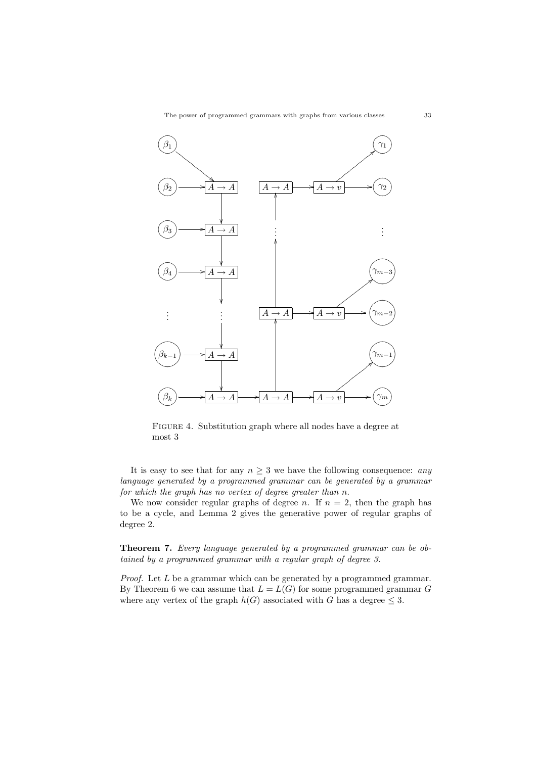The power of programmed grammars with graphs from various classes 33



FIGURE 4. Substitution graph where all nodes have a degree at most 3

It is easy to see that for any  $n \geq 3$  we have the following consequence: any language generated by a programmed grammar can be generated by a grammar for which the graph has no vertex of degree greater than n.

We now consider regular graphs of degree *n*. If  $n = 2$ , then the graph has to be a cycle, and Lemma 2 gives the generative power of regular graphs of degree 2.

Theorem 7. Every language generated by a programmed grammar can be obtained by a programmed grammar with a regular graph of degree 3.

*Proof.* Let  $L$  be a grammar which can be generated by a programmed grammar. By Theorem 6 we can assume that  $L = L(G)$  for some programmed grammar G where any vertex of the graph  $h(G)$  associated with G has a degree  $\leq 3$ .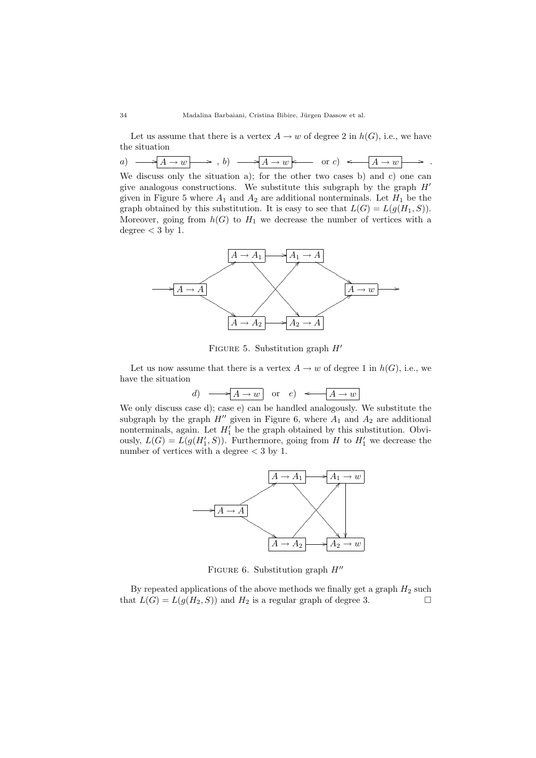Let us assume that there is a vertex  $A \to w$  of degree 2 in  $h(G)$ , i.e., we have the situation

| a<br>u | и.<br>. . | . . | ັ<br>$\sim$ | w<br>-<br>- |  |
|--------|-----------|-----|-------------|-------------|--|
|        |           |     |             |             |  |

We discuss only the situation a); for the other two cases b) and c) one can give analogous constructions. We substitute this subgraph by the graph  $H'$ given in Figure 5 where  $A_1$  and  $A_2$  are additional nonterminals. Let  $H_1$  be the graph obtained by this substitution. It is easy to see that  $L(G) = L(g(H_1, S))$ . Moreover, going from  $h(G)$  to  $H_1$  we decrease the number of vertices with a degree  $<$  3 by 1.



FIGURE 5. Substitution graph  $H'$ 

Let us now assume that there is a vertex  $A \to w$  of degree 1 in  $h(G)$ , i.e., we have the situation

d) 
$$
\longrightarrow
$$
  $\boxed{A \rightarrow w}$  or e)  $\longleftarrow$   $\boxed{A \rightarrow w}$ 

We only discuss case d); case e) can be handled analogously. We substitute the subgraph by the graph  $H''$  given in Figure 6, where  $A_1$  and  $A_2$  are additional nonterminals, again. Let  $H'_1$  be the graph obtained by this substitution. Obviously,  $L(G) = L(g(H'_1, S))$ . Furthermore, going from H to  $H'_1$  we decrease the number of vertices with a degree  $<$  3 by 1.



FIGURE 6. Substitution graph  $H''$ 

By repeated applications of the above methods we finally get a graph  $H_2$  such that  $L(G) = L(g(H_2, S))$  and  $H_2$  is a regular graph of degree 3.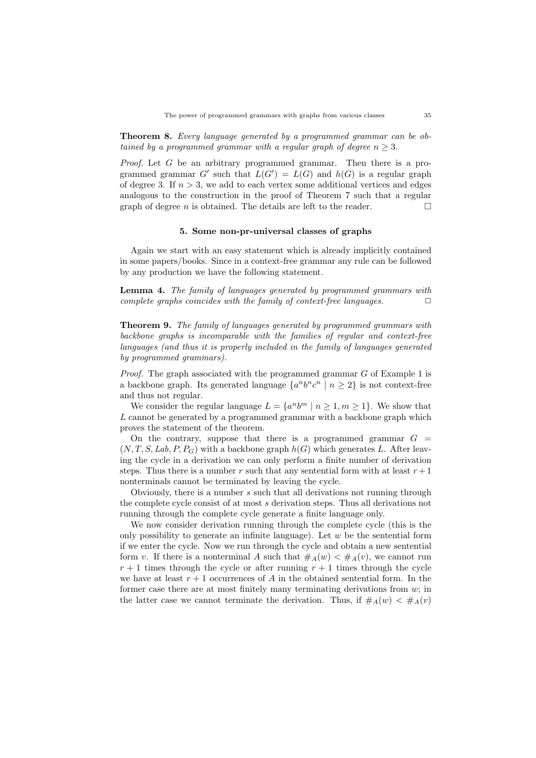Theorem 8. Every language generated by a programmed grammar can be obtained by a programmed grammar with a regular graph of degree  $n \geq 3$ .

*Proof.* Let G be an arbitrary programmed grammar. Then there is a programmed grammar G' such that  $L(G') = L(G)$  and  $h(G)$  is a regular graph of degree 3. If  $n > 3$ , we add to each vertex some additional vertices and edges analogous to the construction in the proof of Theorem 7 such that a regular graph of degree *n* is obtained. The details are left to the reader.  $\Box$ 

#### 5. Some non-pr-universal classes of graphs

Again we start with an easy statement which is already implicitly contained in some papers/books. Since in a context-free grammar any rule can be followed by any production we have the following statement.

Lemma 4. The family of languages generated by programmed grammars with complete graphs coincides with the family of context-free languages.  $\Box$ 

Theorem 9. The family of languages generated by programmed grammars with backbone graphs is incomparable with the families of regular and context-free languages (and thus it is properly included in the family of languages generated by programmed grammars).

*Proof.* The graph associated with the programmed grammar  $G$  of Example 1 is a backbone graph. Its generated language  $\{a^n b^n c^n \mid n \geq 2\}$  is not context-free and thus not regular.

We consider the regular language  $L = \{a^n b^m \mid n \ge 1, m \ge 1\}$ . We show that L cannot be generated by a programmed grammar with a backbone graph which proves the statement of the theorem.

On the contrary, suppose that there is a programmed grammar  $G =$  $(N, T, S, Lab, P, P_G)$  with a backbone graph  $h(G)$  which generates L. After leaving the cycle in a derivation we can only perform a finite number of derivation steps. Thus there is a number r such that any sentential form with at least  $r + 1$ nonterminals cannot be terminated by leaving the cycle.

Obviously, there is a number s such that all derivations not running through the complete cycle consist of at most s derivation steps. Thus all derivations not running through the complete cycle generate a finite language only.

We now consider derivation running through the complete cycle (this is the only possibility to generate an infinite language). Let  $w$  be the sentential form if we enter the cycle. Now we run through the cycle and obtain a new sentential form v. If there is a nonterminal A such that  $\#_A(w) < \#_A(v)$ , we cannot run  $r + 1$  times through the cycle or after running  $r + 1$  times through the cycle we have at least  $r + 1$  occurrences of A in the obtained sentential form. In the former case there are at most finitely many terminating derivations from w; in the latter case we cannot terminate the derivation. Thus, if  $#_A(w) < #_A(v)$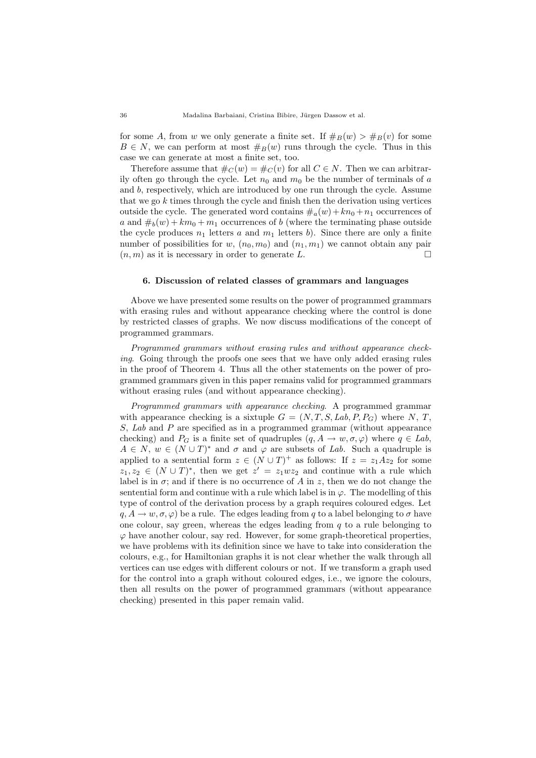for some A, from w we only generate a finite set. If  $\#_B(w) > \#_B(v)$  for some  $B \in N$ , we can perform at most  $\#_B(w)$  runs through the cycle. Thus in this case we can generate at most a finite set, too.

Therefore assume that  $\#_C(w) = \#_C(v)$  for all  $C \in N$ . Then we can arbitrarily often go through the cycle. Let  $n_0$  and  $m_0$  be the number of terminals of a and b, respectively, which are introduced by one run through the cycle. Assume that we go  $k$  times through the cycle and finish then the derivation using vertices outside the cycle. The generated word contains  $\#_a(w)+kn_0 +n_1$  occurrences of a and  $\#_b(w) + km_0 + m_1$  occurrences of b (where the terminating phase outside the cycle produces  $n_1$  letters a and  $m_1$  letters b). Since there are only a finite number of possibilities for w,  $(n_0, m_0)$  and  $(n_1, m_1)$  we cannot obtain any pair  $(n, m)$  as it is necessary in order to generate L.  $\Box$ 

#### 6. Discussion of related classes of grammars and languages

Above we have presented some results on the power of programmed grammars with erasing rules and without appearance checking where the control is done by restricted classes of graphs. We now discuss modifications of the concept of programmed grammars.

Programmed grammars without erasing rules and without appearance checking. Going through the proofs one sees that we have only added erasing rules in the proof of Theorem 4. Thus all the other statements on the power of programmed grammars given in this paper remains valid for programmed grammars without erasing rules (and without appearance checking).

Programmed grammars with appearance checking. A programmed grammar with appearance checking is a sixtuple  $G = (N, T, S, Lab, P, P_G)$  where N, T, S, Lab and P are specified as in a programmed grammar (without appearance checking) and  $P_G$  is a finite set of quadruples  $(q, A \to w, \sigma, \varphi)$  where  $q \in Lab$ ,  $A \in N$ ,  $w \in (N \cup T)^*$  and  $\sigma$  and  $\varphi$  are subsets of Lab. Such a quadruple is applied to a sentential form  $z \in (N \cup T)^+$  as follows: If  $z = z_1 A z_2$  for some  $z_1, z_2 \in (N \cup T)^*$ , then we get  $z' = z_1wz_2$  and continue with a rule which label is in  $\sigma$ ; and if there is no occurrence of A in z, then we do not change the sentential form and continue with a rule which label is in  $\varphi$ . The modelling of this type of control of the derivation process by a graph requires coloured edges. Let  $q, A \rightarrow w, \sigma, \varphi$  be a rule. The edges leading from q to a label belonging to  $\sigma$  have one colour, say green, whereas the edges leading from  $q$  to a rule belonging to  $\varphi$  have another colour, say red. However, for some graph-theoretical properties, we have problems with its definition since we have to take into consideration the colours, e.g., for Hamiltonian graphs it is not clear whether the walk through all vertices can use edges with different colours or not. If we transform a graph used for the control into a graph without coloured edges, i.e., we ignore the colours, then all results on the power of programmed grammars (without appearance checking) presented in this paper remain valid.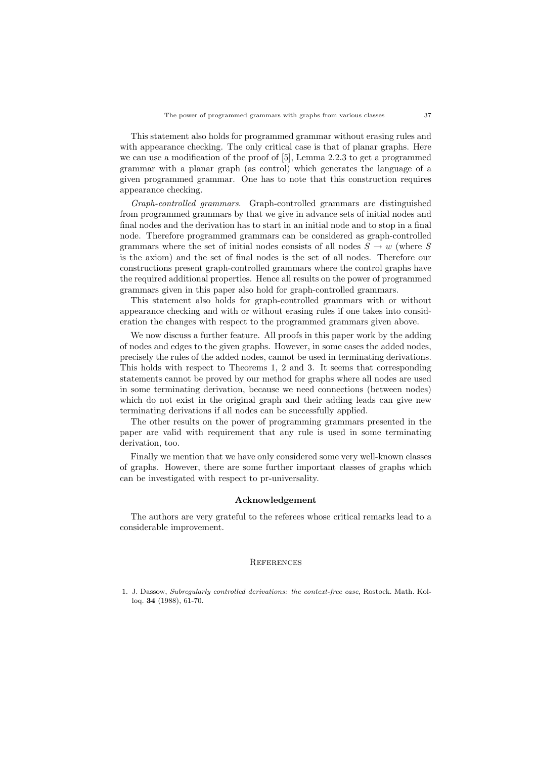This statement also holds for programmed grammar without erasing rules and with appearance checking. The only critical case is that of planar graphs. Here we can use a modification of the proof of [5], Lemma 2.2.3 to get a programmed grammar with a planar graph (as control) which generates the language of a given programmed grammar. One has to note that this construction requires appearance checking.

Graph-controlled grammars. Graph-controlled grammars are distinguished from programmed grammars by that we give in advance sets of initial nodes and final nodes and the derivation has to start in an initial node and to stop in a final node. Therefore programmed grammars can be considered as graph-controlled grammars where the set of initial nodes consists of all nodes  $S \to w$  (where S is the axiom) and the set of final nodes is the set of all nodes. Therefore our constructions present graph-controlled grammars where the control graphs have the required additional properties. Hence all results on the power of programmed grammars given in this paper also hold for graph-controlled grammars.

This statement also holds for graph-controlled grammars with or without appearance checking and with or without erasing rules if one takes into consideration the changes with respect to the programmed grammars given above.

We now discuss a further feature. All proofs in this paper work by the adding of nodes and edges to the given graphs. However, in some cases the added nodes, precisely the rules of the added nodes, cannot be used in terminating derivations. This holds with respect to Theorems 1, 2 and 3. It seems that corresponding statements cannot be proved by our method for graphs where all nodes are used in some terminating derivation, because we need connections (between nodes) which do not exist in the original graph and their adding leads can give new terminating derivations if all nodes can be successfully applied.

The other results on the power of programming grammars presented in the paper are valid with requirement that any rule is used in some terminating derivation, too.

Finally we mention that we have only considered some very well-known classes of graphs. However, there are some further important classes of graphs which can be investigated with respect to pr-universality.

## Acknowledgement

The authors are very grateful to the referees whose critical remarks lead to a considerable improvement.

#### **REFERENCES**

<sup>1.</sup> J. Dassow, Subregularly controlled derivations: the context-free case, Rostock. Math. Kolloq. 34 (1988), 61-70.